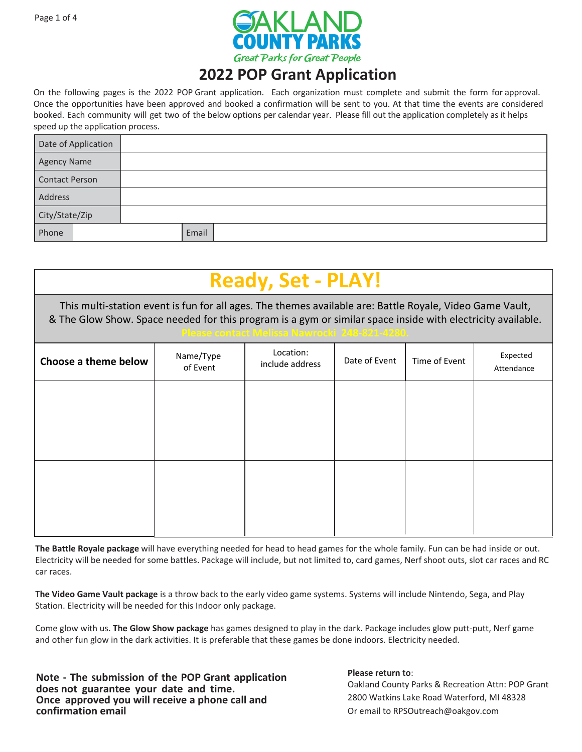

On the following pages is the 2022 POP Grant application. Each organization must complete and submit the form for approval. Once the opportunities have been approved and booked a confirmation will be sent to you. At that time the events are considered booked. Each community will get two of the below options per calendar year. Please fill out the application completely as it helps speed up the application process.

| Date of Application   |       |  |
|-----------------------|-------|--|
| <b>Agency Name</b>    |       |  |
| <b>Contact Person</b> |       |  |
| Address               |       |  |
| City/State/Zip        |       |  |
| Phone                 | Email |  |

| <b>Ready, Set - PLAY!</b>                                                                                                                                                                                                                                                |                       |                              |               |               |                        |  |  |
|--------------------------------------------------------------------------------------------------------------------------------------------------------------------------------------------------------------------------------------------------------------------------|-----------------------|------------------------------|---------------|---------------|------------------------|--|--|
| This multi-station event is fun for all ages. The themes available are: Battle Royale, Video Game Vault,<br>& The Glow Show. Space needed for this program is a gym or similar space inside with electricity available.<br>Please contact Melissa Nawrocki 248-821-4280. |                       |                              |               |               |                        |  |  |
| Choose a theme below                                                                                                                                                                                                                                                     | Name/Type<br>of Event | Location:<br>include address | Date of Event | Time of Event | Expected<br>Attendance |  |  |
|                                                                                                                                                                                                                                                                          |                       |                              |               |               |                        |  |  |
|                                                                                                                                                                                                                                                                          |                       |                              |               |               |                        |  |  |
|                                                                                                                                                                                                                                                                          |                       |                              |               |               |                        |  |  |
|                                                                                                                                                                                                                                                                          |                       |                              |               |               |                        |  |  |
|                                                                                                                                                                                                                                                                          |                       |                              |               |               |                        |  |  |

**The Battle Royale package** will have everything needed for head to head games for the whole family. Fun can be had inside or out. Electricity will be needed for some battles. Package will include, but not limited to, card games, Nerf shoot outs, slot car races and RC car races.

T**he Video Game Vault package** is a throw back to the early video game systems. Systems will include Nintendo, Sega, and Play Station. Electricity will be needed for this Indoor only package.

Come glow with us. **The Glow Show package** has games designed to play in the dark. Package includes glow putt-putt, Nerf game and other fun glow in the dark activities. It is preferable that these games be done indoors. Electricity needed.

**Note - The submission of the POP Grant application does not guarantee your date and time. Once approved you will receive a phone call and confirmation email**

#### **Please return to**: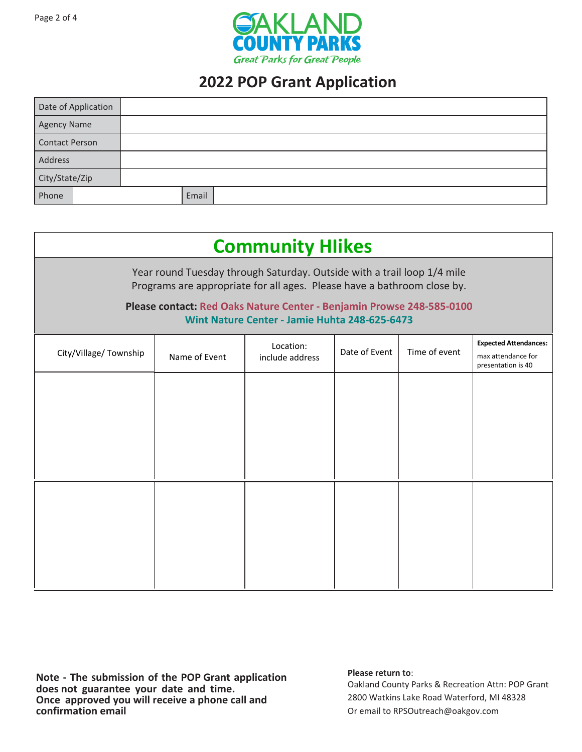

| Date of Application   |       |  |
|-----------------------|-------|--|
| <b>Agency Name</b>    |       |  |
| <b>Contact Person</b> |       |  |
| Address               |       |  |
| City/State/Zip        |       |  |
| Phone                 | Email |  |

| <b>Community Hlikes</b>                                                                                                                                                                                                                                                      |               |                              |               |               |                                                                          |  |
|------------------------------------------------------------------------------------------------------------------------------------------------------------------------------------------------------------------------------------------------------------------------------|---------------|------------------------------|---------------|---------------|--------------------------------------------------------------------------|--|
| Year round Tuesday through Saturday. Outside with a trail loop 1/4 mile<br>Programs are appropriate for all ages. Please have a bathroom close by.<br>Please contact: Red Oaks Nature Center - Benjamin Prowse 248-585-0100<br>Wint Nature Center - Jamie Huhta 248-625-6473 |               |                              |               |               |                                                                          |  |
| City/Village/Township                                                                                                                                                                                                                                                        | Name of Event | Location:<br>include address | Date of Event | Time of event | <b>Expected Attendances:</b><br>max attendance for<br>presentation is 40 |  |
|                                                                                                                                                                                                                                                                              |               |                              |               |               |                                                                          |  |
|                                                                                                                                                                                                                                                                              |               |                              |               |               |                                                                          |  |
|                                                                                                                                                                                                                                                                              |               |                              |               |               |                                                                          |  |
|                                                                                                                                                                                                                                                                              |               |                              |               |               |                                                                          |  |
|                                                                                                                                                                                                                                                                              |               |                              |               |               |                                                                          |  |
|                                                                                                                                                                                                                                                                              |               |                              |               |               |                                                                          |  |

**Note - The submission of the POP Grant application does not guarantee your date and time. Once approved you will receive a phone call and confirmation email**

### **Please return to**: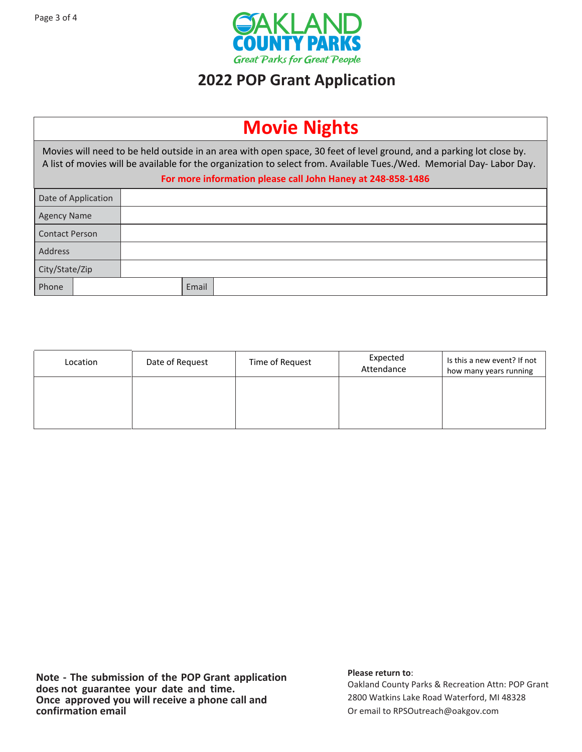

| <b>Movie Nights</b>   |                                                                                                                                                                                                                                                                                                             |  |       |  |  |
|-----------------------|-------------------------------------------------------------------------------------------------------------------------------------------------------------------------------------------------------------------------------------------------------------------------------------------------------------|--|-------|--|--|
|                       | Movies will need to be held outside in an area with open space, 30 feet of level ground, and a parking lot close by.<br>A list of movies will be available for the organization to select from. Available Tues./Wed. Memorial Day-Labor Day.<br>For more information please call John Haney at 248-858-1486 |  |       |  |  |
| Date of Application   |                                                                                                                                                                                                                                                                                                             |  |       |  |  |
| <b>Agency Name</b>    |                                                                                                                                                                                                                                                                                                             |  |       |  |  |
| <b>Contact Person</b> |                                                                                                                                                                                                                                                                                                             |  |       |  |  |
| Address               |                                                                                                                                                                                                                                                                                                             |  |       |  |  |
| City/State/Zip        |                                                                                                                                                                                                                                                                                                             |  |       |  |  |
| Phone                 |                                                                                                                                                                                                                                                                                                             |  | Email |  |  |

| Location | Date of Request | Time of Request | Expected<br>Attendance | Is this a new event? If not<br>how many years running |
|----------|-----------------|-----------------|------------------------|-------------------------------------------------------|
|          |                 |                 |                        |                                                       |
|          |                 |                 |                        |                                                       |

### **Please return to**: